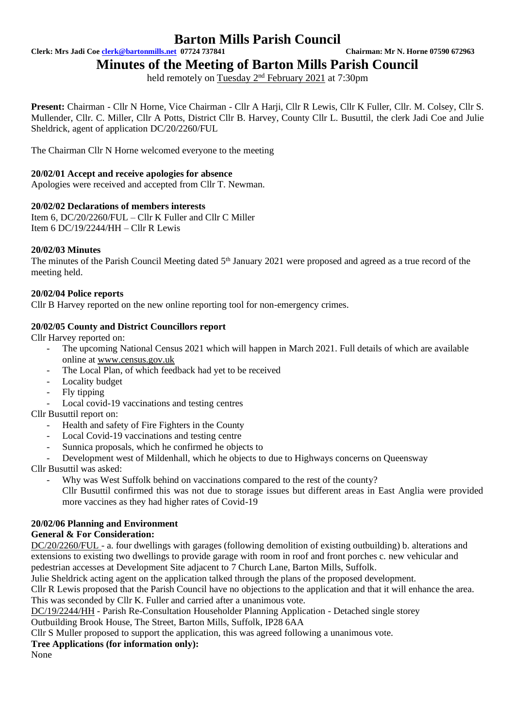**Clerk: Mrs Jadi Coe [clerk@bartonmills.net](mailto:clerk@bartonmills.net) 07724 737841 Chairman: Mr N. Horne 07590 672963**

**Minutes of the Meeting of Barton Mills Parish Council**

held remotely on Tuesday 2<sup>nd</sup> February 2021 at 7:30pm

Present: Chairman - Cllr N Horne, Vice Chairman - Cllr A Harji, Cllr R Lewis, Cllr K Fuller, Cllr. M. Colsev, Cllr S. Mullender, Cllr. C. Miller, Cllr A Potts, District Cllr B. Harvey, County Cllr L. Busuttil, the clerk Jadi Coe and Julie Sheldrick, agent of application DC/20/2260/FUL

The Chairman Cllr N Horne welcomed everyone to the meeting

### **20/02/01 Accept and receive apologies for absence**

Apologies were received and accepted from Cllr T. Newman.

### **20/02/02 Declarations of members interests**

Item 6, DC/20/2260/FUL – Cllr K Fuller and Cllr C Miller Item 6 DC/19/2244/HH – Cllr R Lewis

### **20/02/03 Minutes**

The minutes of the Parish Council Meeting dated 5<sup>th</sup> January 2021 were proposed and agreed as a true record of the meeting held.

### **20/02/04 Police reports**

Cllr B Harvey reported on the new online reporting tool for non-emergency crimes.

### **20/02/05 County and District Councillors report**

Cllr Harvey reported on:

- The upcoming National Census 2021 which will happen in March 2021. Full details of which are available online at [www.census.gov.uk](http://www.census.gov.uk/)
- The Local Plan, of which feedback had yet to be received
- Locality budget
- Fly tipping
- Local covid-19 vaccinations and testing centres

Cllr Busuttil report on:

- Health and safety of Fire Fighters in the County
- Local Covid-19 vaccinations and testing centre
- Sunnica proposals, which he confirmed he objects to
- Development west of Mildenhall, which he objects to due to Highways concerns on Queensway

Cllr Busuttil was asked:

Why was West Suffolk behind on vaccinations compared to the rest of the county? Cllr Busuttil confirmed this was not due to storage issues but different areas in East Anglia were provided more vaccines as they had higher rates of Covid-19

### **20/02/06 Planning and Environment**

### **General & For Consideration:**

DC/20/2260/FUL - a. four dwellings with garages (following demolition of existing outbuilding) b. alterations and extensions to existing two dwellings to provide garage with room in roof and front porches c. new vehicular and pedestrian accesses at Development Site adjacent to 7 Church Lane, Barton Mills, Suffolk.

Julie Sheldrick acting agent on the application talked through the plans of the proposed development.

Cllr R Lewis proposed that the Parish Council have no objections to the application and that it will enhance the area. This was seconded by Cllr K. Fuller and carried after a unanimous vote.

DC/19/2244/HH - Parish Re-Consultation Householder Planning Application - Detached single storey Outbuilding Brook House, The Street, Barton Mills, Suffolk, IP28 6AA

Cllr S Muller proposed to support the application, this was agreed following a unanimous vote.

### **Tree Applications (for information only):**

None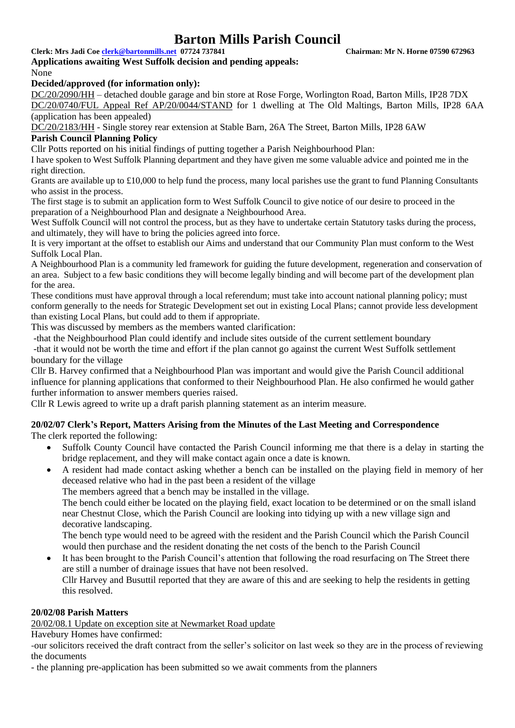**Clerk: Mrs Jadi Coe [clerk@bartonmills.net](mailto:clerk@bartonmills.net) 07724 737841 Chairman: Mr N. Horne 07590 672963**

### **Applications awaiting West Suffolk decision and pending appeals:** None

### **Decided/approved (for information only):**

DC/20/2090/HH – detached double garage and bin store at Rose Forge, Worlington Road, Barton Mills, IP28 7DX DC/20/0740/FUL Appeal Ref AP/20/0044/STAND for 1 dwelling at The Old Maltings, Barton Mills, IP28 6AA (application has been appealed)

DC/20/2183/HH - Single storey rear extension at Stable Barn, 26A The Street, Barton Mills, IP28 6AW **Parish Council Planning Policy**

Cllr Potts reported on his initial findings of putting together a Parish Neighbourhood Plan:

I have spoken to West Suffolk Planning department and they have given me some valuable advice and pointed me in the right direction.

Grants are available up to £10,000 to help fund the process, many local parishes use the grant to fund Planning Consultants who assist in the process.

The first stage is to submit an application form to West Suffolk Council to give notice of our desire to proceed in the preparation of a Neighbourhood Plan and designate a Neighbourhood Area.

West Suffolk Council will not control the process, but as they have to undertake certain Statutory tasks during the process, and ultimately, they will have to bring the policies agreed into force.

It is very important at the offset to establish our Aims and understand that our Community Plan must conform to the West Suffolk Local Plan.

A Neighbourhood Plan is a community led framework for guiding the future development, regeneration and conservation of an area. Subject to a few basic conditions they will become legally binding and will become part of the development plan for the area.

These conditions must have approval through a local referendum; must take into account national planning policy; must conform generally to the needs for Strategic Development set out in existing Local Plans; cannot provide less development than existing Local Plans, but could add to them if appropriate.

This was discussed by members as the members wanted clarification:

-that the Neighbourhood Plan could identify and include sites outside of the current settlement boundary

-that it would not be worth the time and effort if the plan cannot go against the current West Suffolk settlement boundary for the village

Cllr B. Harvey confirmed that a Neighbourhood Plan was important and would give the Parish Council additional influence for planning applications that conformed to their Neighbourhood Plan. He also confirmed he would gather further information to answer members queries raised.

Cllr R Lewis agreed to write up a draft parish planning statement as an interim measure.

## **20/02/07 Clerk's Report, Matters Arising from the Minutes of the Last Meeting and Correspondence**

The clerk reported the following:

- Suffolk County Council have contacted the Parish Council informing me that there is a delay in starting the bridge replacement, and they will make contact again once a date is known.
- A resident had made contact asking whether a bench can be installed on the playing field in memory of her deceased relative who had in the past been a resident of the village

The members agreed that a bench may be installed in the village.

The bench could either be located on the playing field, exact location to be determined or on the small island near Chestnut Close, which the Parish Council are looking into tidying up with a new village sign and decorative landscaping.

The bench type would need to be agreed with the resident and the Parish Council which the Parish Council would then purchase and the resident donating the net costs of the bench to the Parish Council

It has been brought to the Parish Council's attention that following the road resurfacing on The Street there are still a number of drainage issues that have not been resolved. Cllr Harvey and Busuttil reported that they are aware of this and are seeking to help the residents in getting this resolved.

### **20/02/08 Parish Matters**

20/02/08.1 Update on exception site at Newmarket Road update

Havebury Homes have confirmed:

-our solicitors received the draft contract from the seller's solicitor on last week so they are in the process of reviewing the documents

- the planning pre-application has been submitted so we await comments from the planners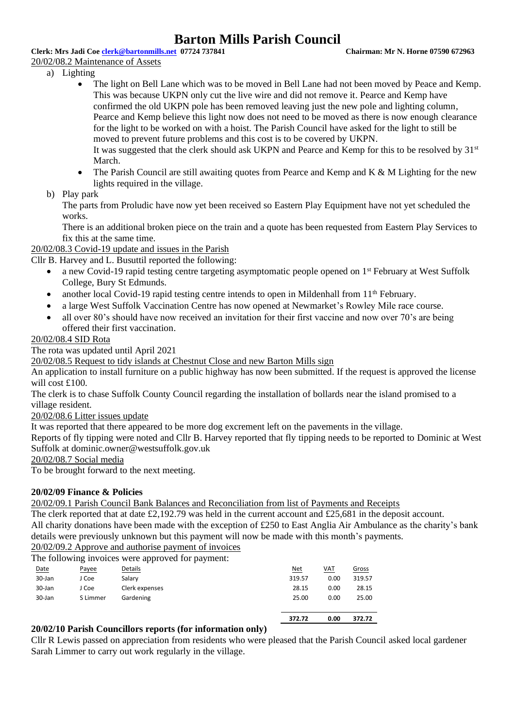**Clerk: Mrs Jadi Coe [clerk@bartonmills.net](mailto:clerk@bartonmills.net) 07724 737841 Chairman: Mr N. Horne 07590 672963**

### 20/02/08.2 Maintenance of Assets

- a) Lighting
	- The light on Bell Lane which was to be moved in Bell Lane had not been moved by Peace and Kemp. This was because UKPN only cut the live wire and did not remove it. Pearce and Kemp have confirmed the old UKPN pole has been removed leaving just the new pole and lighting column, Pearce and Kemp believe this light now does not need to be moved as there is now enough clearance for the light to be worked on with a hoist. The Parish Council have asked for the light to still be moved to prevent future problems and this cost is to be covered by UKPN. It was suggested that the clerk should ask UKPN and Pearce and Kemp for this to be resolved by 31<sup>st</sup>

March.

- The Parish Council are still awaiting quotes from Pearce and Kemp and K  $\&$  M Lighting for the new lights required in the village.
- b) Play park

The parts from Proludic have now yet been received so Eastern Play Equipment have not yet scheduled the works.

There is an additional broken piece on the train and a quote has been requested from Eastern Play Services to fix this at the same time.

20/02/08.3 Covid-19 update and issues in the Parish

Cllr B. Harvey and L. Busuttil reported the following:

- a new Covid-19 rapid testing centre targeting asymptomatic people opened on 1st February at West Suffolk College, Bury St Edmunds.
- another local Covid-19 rapid testing centre intends to open in Mildenhall from 11<sup>th</sup> February.
- a large West Suffolk Vaccination Centre has now opened at Newmarket's Rowley Mile race course.
- all over 80's should have now received an invitation for their first vaccine and now over 70's are being offered their first vaccination.

### 20/02/08.4 SID Rota

The rota was updated until April 2021

20/02/08.5 Request to tidy islands at Chestnut Close and new Barton Mills sign

An application to install furniture on a public highway has now been submitted. If the request is approved the license will cost £100.

The clerk is to chase Suffolk County Council regarding the installation of bollards near the island promised to a village resident.

20/02/08.6 Litter issues update

It was reported that there appeared to be more dog excrement left on the pavements in the village.

Reports of fly tipping were noted and Cllr B. Harvey reported that fly tipping needs to be reported to Dominic at West Suffolk at dominic.owner@westsuffolk.gov.uk

20/02/08.7 Social media

To be brought forward to the next meeting.

### **20/02/09 Finance & Policies**

20/02/09.1 Parish Council Bank Balances and Reconciliation from list of Payments and Receipts

The clerk reported that at date £2,192.79 was held in the current account and £25,681 in the deposit account. All charity donations have been made with the exception of £250 to East Anglia Air Ambulance as the charity's bank details were previously unknown but this payment will now be made with this month's payments.

20/02/09.2 Approve and authorise payment of invoices

The following invoices were approved for payment:

|        |          |                | 372.72 | 0.00       | 372.72 |
|--------|----------|----------------|--------|------------|--------|
| 30-Jan | S Limmer | Gardening      | 25.00  | 0.00       | 25.00  |
| 30-Jan | J Coe    | Clerk expenses | 28.15  | 0.00       | 28.15  |
| 30-Jan | J Coe    | Salary         | 319.57 | 0.00       | 319.57 |
| Date   | Payee    | <b>Details</b> | Net    | <b>VAT</b> | Gross  |
|        | ັ        |                |        |            |        |

### **20/02/10 Parish Councillors reports (for information only)**

Cllr R Lewis passed on appreciation from residents who were pleased that the Parish Council asked local gardener Sarah Limmer to carry out work regularly in the village.